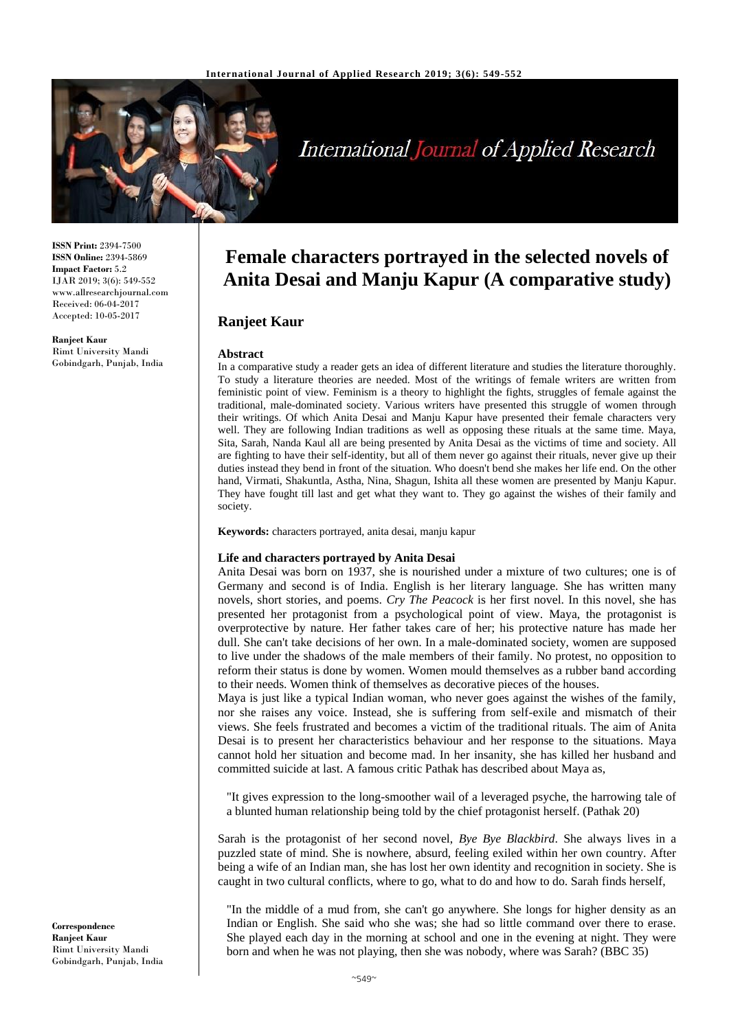

# **International Journal of Applied Research**

**ISSN Print:** 2394-7500 **ISSN Online:** 2394-5869 **Impact Factor:** 5.2 IJAR 2019; 3(6): 549-552 www.allresearchjournal.com Received: 06-04-2017 Accepted: 10-05-2017

**Ranjeet Kaur** Rimt University Mandi Gobindgarh, Punjab, India

## **Female characters portrayed in the selected novels of Anita Desai and Manju Kapur (A comparative study)**

### **Ranjeet Kaur**

#### **Abstract**

In a comparative study a reader gets an idea of different literature and studies the literature thoroughly. To study a literature theories are needed. Most of the writings of female writers are written from feministic point of view. Feminism is a theory to highlight the fights, struggles of female against the traditional, male-dominated society. Various writers have presented this struggle of women through their writings. Of which Anita Desai and Manju Kapur have presented their female characters very well. They are following Indian traditions as well as opposing these rituals at the same time. Maya, Sita, Sarah, Nanda Kaul all are being presented by Anita Desai as the victims of time and society. All are fighting to have their self-identity, but all of them never go against their rituals, never give up their duties instead they bend in front of the situation. Who doesn't bend she makes her life end. On the other hand, Virmati, Shakuntla, Astha, Nina, Shagun, Ishita all these women are presented by Manju Kapur. They have fought till last and get what they want to. They go against the wishes of their family and society.

**Keywords:** characters portrayed, anita desai, manju kapur

#### **Life and characters portrayed by Anita Desai**

Anita Desai was born on 1937, she is nourished under a mixture of two cultures; one is of Germany and second is of India. English is her literary language. She has written many novels, short stories, and poems. *Cry The Peacock* is her first novel. In this novel, she has presented her protagonist from a psychological point of view. Maya, the protagonist is overprotective by nature. Her father takes care of her; his protective nature has made her dull. She can't take decisions of her own. In a male-dominated society, women are supposed to live under the shadows of the male members of their family. No protest, no opposition to reform their status is done by women. Women mould themselves as a rubber band according to their needs. Women think of themselves as decorative pieces of the houses.

Maya is just like a typical Indian woman, who never goes against the wishes of the family, nor she raises any voice. Instead, she is suffering from self-exile and mismatch of their views. She feels frustrated and becomes a victim of the traditional rituals. The aim of Anita Desai is to present her characteristics behaviour and her response to the situations. Maya cannot hold her situation and become mad. In her insanity, she has killed her husband and committed suicide at last. A famous critic Pathak has described about Maya as,

"It gives expression to the long-smoother wail of a leveraged psyche, the harrowing tale of a blunted human relationship being told by the chief protagonist herself. (Pathak 20)

Sarah is the protagonist of her second novel, *Bye Bye Blackbird*. She always lives in a puzzled state of mind. She is nowhere, absurd, feeling exiled within her own country. After being a wife of an Indian man, she has lost her own identity and recognition in society. She is caught in two cultural conflicts, where to go, what to do and how to do. Sarah finds herself,

"In the middle of a mud from, she can't go anywhere. She longs for higher density as an Indian or English. She said who she was; she had so little command over there to erase. She played each day in the morning at school and one in the evening at night. They were born and when he was not playing, then she was nobody, where was Sarah? (BBC 35)

**Correspondence Ranjeet Kaur** Rimt University Mandi Gobindgarh, Punjab, India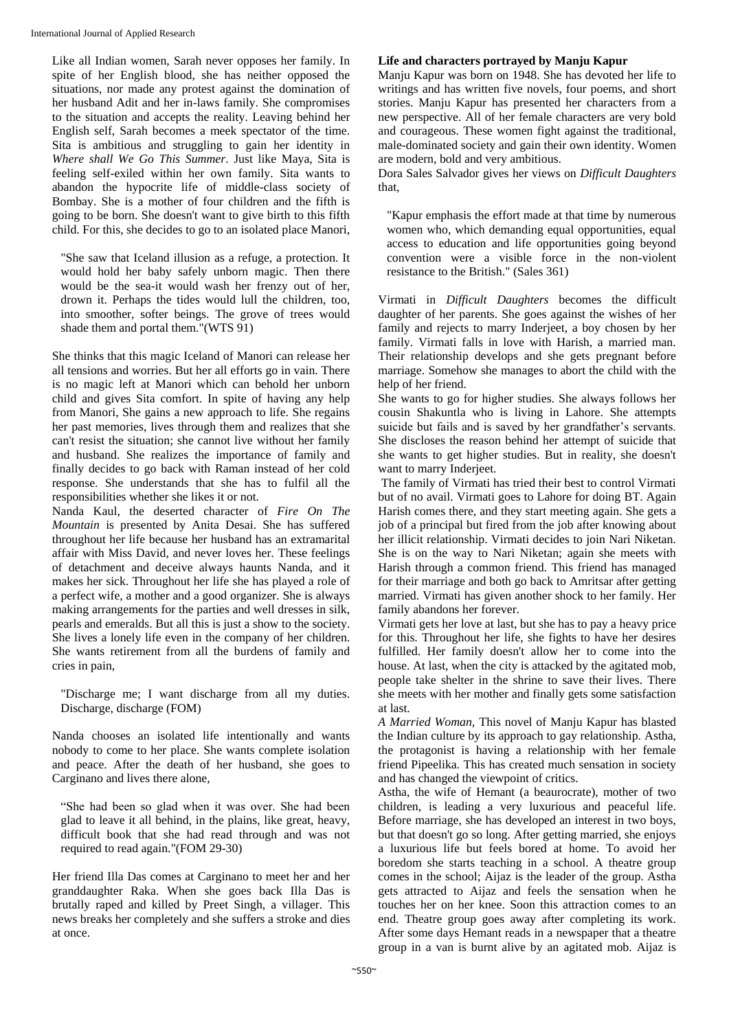Like all Indian women, Sarah never opposes her family. In spite of her English blood, she has neither opposed the situations, nor made any protest against the domination of her husband Adit and her in-laws family. She compromises to the situation and accepts the reality. Leaving behind her English self, Sarah becomes a meek spectator of the time. Sita is ambitious and struggling to gain her identity in *Where shall We Go This Summer*. Just like Maya, Sita is feeling self-exiled within her own family. Sita wants to abandon the hypocrite life of middle-class society of Bombay. She is a mother of four children and the fifth is going to be born. She doesn't want to give birth to this fifth child. For this, she decides to go to an isolated place Manori,

"She saw that Iceland illusion as a refuge, a protection. It would hold her baby safely unborn magic. Then there would be the sea-it would wash her frenzy out of her, drown it. Perhaps the tides would lull the children, too, into smoother, softer beings. The grove of trees would shade them and portal them."(WTS 91)

She thinks that this magic Iceland of Manori can release her all tensions and worries. But her all efforts go in vain. There is no magic left at Manori which can behold her unborn child and gives Sita comfort. In spite of having any help from Manori, She gains a new approach to life. She regains her past memories, lives through them and realizes that she can't resist the situation; she cannot live without her family and husband. She realizes the importance of family and finally decides to go back with Raman instead of her cold response. She understands that she has to fulfil all the responsibilities whether she likes it or not.

Nanda Kaul, the deserted character of *Fire On The Mountain* is presented by Anita Desai. She has suffered throughout her life because her husband has an extramarital affair with Miss David, and never loves her. These feelings of detachment and deceive always haunts Nanda, and it makes her sick. Throughout her life she has played a role of a perfect wife, a mother and a good organizer. She is always making arrangements for the parties and well dresses in silk, pearls and emeralds. But all this is just a show to the society. She lives a lonely life even in the company of her children. She wants retirement from all the burdens of family and cries in pain,

"Discharge me; I want discharge from all my duties. Discharge, discharge (FOM)

Nanda chooses an isolated life intentionally and wants nobody to come to her place. She wants complete isolation and peace. After the death of her husband, she goes to Carginano and lives there alone,

"She had been so glad when it was over. She had been glad to leave it all behind, in the plains, like great, heavy, difficult book that she had read through and was not required to read again."(FOM 29-30)

Her friend Illa Das comes at Carginano to meet her and her granddaughter Raka. When she goes back Illa Das is brutally raped and killed by Preet Singh, a villager. This news breaks her completely and she suffers a stroke and dies at once.

#### **Life and characters portrayed by Manju Kapur**

Manju Kapur was born on 1948. She has devoted her life to writings and has written five novels, four poems, and short stories. Manju Kapur has presented her characters from a new perspective. All of her female characters are very bold and courageous. These women fight against the traditional, male-dominated society and gain their own identity. Women are modern, bold and very ambitious.

Dora Sales Salvador gives her views on *Difficult Daughters*  that,

"Kapur emphasis the effort made at that time by numerous women who, which demanding equal opportunities, equal access to education and life opportunities going beyond convention were a visible force in the non-violent resistance to the British." (Sales 361)

Virmati in *Difficult Daughters* becomes the difficult daughter of her parents. She goes against the wishes of her family and rejects to marry Inderjeet, a boy chosen by her family. Virmati falls in love with Harish, a married man. Their relationship develops and she gets pregnant before marriage. Somehow she manages to abort the child with the help of her friend.

She wants to go for higher studies. She always follows her cousin Shakuntla who is living in Lahore. She attempts suicide but fails and is saved by her grandfather's servants. She discloses the reason behind her attempt of suicide that she wants to get higher studies. But in reality, she doesn't want to marry Inderjeet.

The family of Virmati has tried their best to control Virmati but of no avail. Virmati goes to Lahore for doing BT. Again Harish comes there, and they start meeting again. She gets a job of a principal but fired from the job after knowing about her illicit relationship. Virmati decides to join Nari Niketan. She is on the way to Nari Niketan; again she meets with Harish through a common friend. This friend has managed for their marriage and both go back to Amritsar after getting married. Virmati has given another shock to her family. Her family abandons her forever.

Virmati gets her love at last, but she has to pay a heavy price for this. Throughout her life, she fights to have her desires fulfilled. Her family doesn't allow her to come into the house. At last, when the city is attacked by the agitated mob, people take shelter in the shrine to save their lives. There she meets with her mother and finally gets some satisfaction at last.

*A Married Woman,* This novel of Manju Kapur has blasted the Indian culture by its approach to gay relationship. Astha, the protagonist is having a relationship with her female friend Pipeelika. This has created much sensation in society and has changed the viewpoint of critics.

Astha, the wife of Hemant (a beaurocrate), mother of two children, is leading a very luxurious and peaceful life. Before marriage, she has developed an interest in two boys, but that doesn't go so long. After getting married, she enjoys a luxurious life but feels bored at home. To avoid her boredom she starts teaching in a school. A theatre group comes in the school; Aijaz is the leader of the group. Astha gets attracted to Aijaz and feels the sensation when he touches her on her knee. Soon this attraction comes to an end. Theatre group goes away after completing its work. After some days Hemant reads in a newspaper that a theatre group in a van is burnt alive by an agitated mob. Aijaz is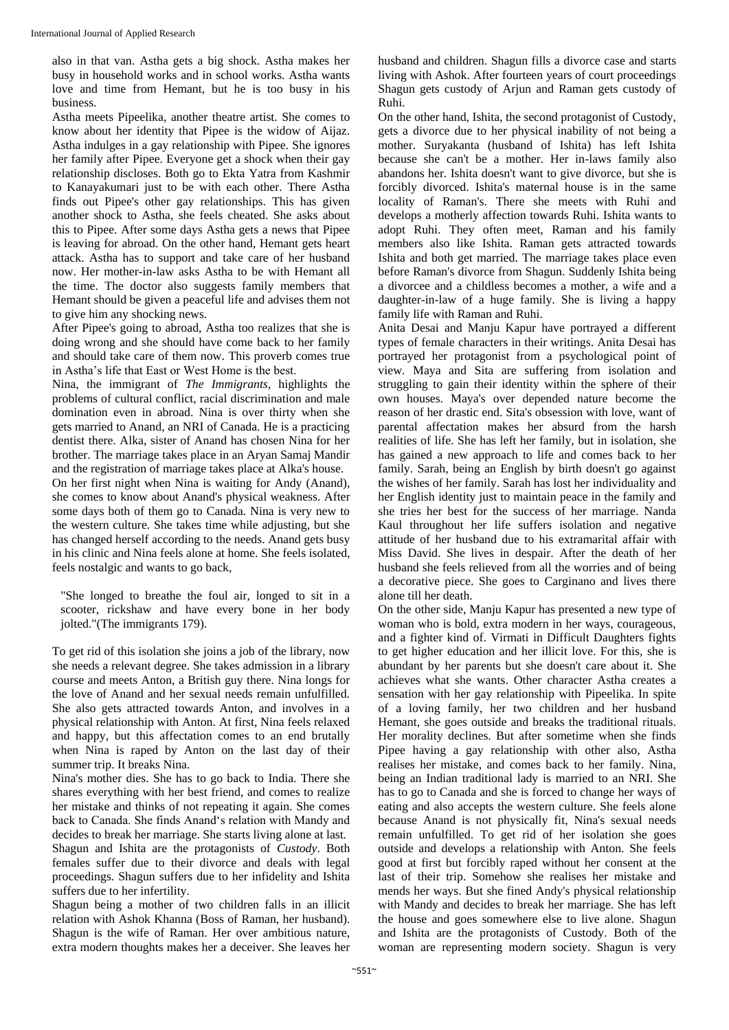also in that van. Astha gets a big shock. Astha makes her busy in household works and in school works. Astha wants love and time from Hemant, but he is too busy in his business.

Astha meets Pipeelika, another theatre artist. She comes to know about her identity that Pipee is the widow of Aijaz. Astha indulges in a gay relationship with Pipee. She ignores her family after Pipee. Everyone get a shock when their gay relationship discloses. Both go to Ekta Yatra from Kashmir to Kanayakumari just to be with each other. There Astha finds out Pipee's other gay relationships. This has given another shock to Astha, she feels cheated. She asks about this to Pipee. After some days Astha gets a news that Pipee is leaving for abroad. On the other hand, Hemant gets heart attack. Astha has to support and take care of her husband now. Her mother-in-law asks Astha to be with Hemant all the time. The doctor also suggests family members that Hemant should be given a peaceful life and advises them not to give him any shocking news.

After Pipee's going to abroad, Astha too realizes that she is doing wrong and she should have come back to her family and should take care of them now. This proverb comes true in Astha's life that East or West Home is the best.

Nina, the immigrant of *The Immigrants*, highlights the problems of cultural conflict, racial discrimination and male domination even in abroad. Nina is over thirty when she gets married to Anand, an NRI of Canada. He is a practicing dentist there. Alka, sister of Anand has chosen Nina for her brother. The marriage takes place in an Aryan Samaj Mandir and the registration of marriage takes place at Alka's house. On her first night when Nina is waiting for Andy (Anand), she comes to know about Anand's physical weakness. After some days both of them go to Canada. Nina is very new to the western culture. She takes time while adjusting, but she has changed herself according to the needs. Anand gets busy in his clinic and Nina feels alone at home. She feels isolated, feels nostalgic and wants to go back,

"She longed to breathe the foul air, longed to sit in a scooter, rickshaw and have every bone in her body jolted."(The immigrants 179).

To get rid of this isolation she joins a job of the library, now she needs a relevant degree. She takes admission in a library course and meets Anton, a British guy there. Nina longs for the love of Anand and her sexual needs remain unfulfilled. She also gets attracted towards Anton, and involves in a physical relationship with Anton. At first, Nina feels relaxed and happy, but this affectation comes to an end brutally when Nina is raped by Anton on the last day of their summer trip. It breaks Nina.

Nina's mother dies. She has to go back to India. There she shares everything with her best friend, and comes to realize her mistake and thinks of not repeating it again. She comes back to Canada. She finds Anand's relation with Mandy and decides to break her marriage. She starts living alone at last. Shagun and Ishita are the protagonists of *Custody*. Both females suffer due to their divorce and deals with legal proceedings. Shagun suffers due to her infidelity and Ishita suffers due to her infertility.

Shagun being a mother of two children falls in an illicit relation with Ashok Khanna (Boss of Raman, her husband). Shagun is the wife of Raman. Her over ambitious nature, extra modern thoughts makes her a deceiver. She leaves her

husband and children. Shagun fills a divorce case and starts living with Ashok. After fourteen years of court proceedings Shagun gets custody of Arjun and Raman gets custody of Ruhi.

On the other hand, Ishita, the second protagonist of Custody, gets a divorce due to her physical inability of not being a mother. Suryakanta (husband of Ishita) has left Ishita because she can't be a mother. Her in-laws family also abandons her. Ishita doesn't want to give divorce, but she is forcibly divorced. Ishita's maternal house is in the same locality of Raman's. There she meets with Ruhi and develops a motherly affection towards Ruhi. Ishita wants to adopt Ruhi. They often meet, Raman and his family members also like Ishita. Raman gets attracted towards Ishita and both get married. The marriage takes place even before Raman's divorce from Shagun. Suddenly Ishita being a divorcee and a childless becomes a mother, a wife and a daughter-in-law of a huge family. She is living a happy family life with Raman and Ruhi.

Anita Desai and Manju Kapur have portrayed a different types of female characters in their writings. Anita Desai has portrayed her protagonist from a psychological point of view. Maya and Sita are suffering from isolation and struggling to gain their identity within the sphere of their own houses. Maya's over depended nature become the reason of her drastic end. Sita's obsession with love, want of parental affectation makes her absurd from the harsh realities of life. She has left her family, but in isolation, she has gained a new approach to life and comes back to her family. Sarah, being an English by birth doesn't go against the wishes of her family. Sarah has lost her individuality and her English identity just to maintain peace in the family and she tries her best for the success of her marriage. Nanda Kaul throughout her life suffers isolation and negative attitude of her husband due to his extramarital affair with Miss David. She lives in despair. After the death of her husband she feels relieved from all the worries and of being a decorative piece. She goes to Carginano and lives there alone till her death.

On the other side, Manju Kapur has presented a new type of woman who is bold, extra modern in her ways, courageous, and a fighter kind of. Virmati in Difficult Daughters fights to get higher education and her illicit love. For this, she is abundant by her parents but she doesn't care about it. She achieves what she wants. Other character Astha creates a sensation with her gay relationship with Pipeelika. In spite of a loving family, her two children and her husband Hemant, she goes outside and breaks the traditional rituals. Her morality declines. But after sometime when she finds Pipee having a gay relationship with other also, Astha realises her mistake, and comes back to her family. Nina, being an Indian traditional lady is married to an NRI. She has to go to Canada and she is forced to change her ways of eating and also accepts the western culture. She feels alone because Anand is not physically fit, Nina's sexual needs remain unfulfilled. To get rid of her isolation she goes outside and develops a relationship with Anton. She feels good at first but forcibly raped without her consent at the last of their trip. Somehow she realises her mistake and mends her ways. But she fined Andy's physical relationship with Mandy and decides to break her marriage. She has left the house and goes somewhere else to live alone. Shagun and Ishita are the protagonists of Custody. Both of the woman are representing modern society. Shagun is very